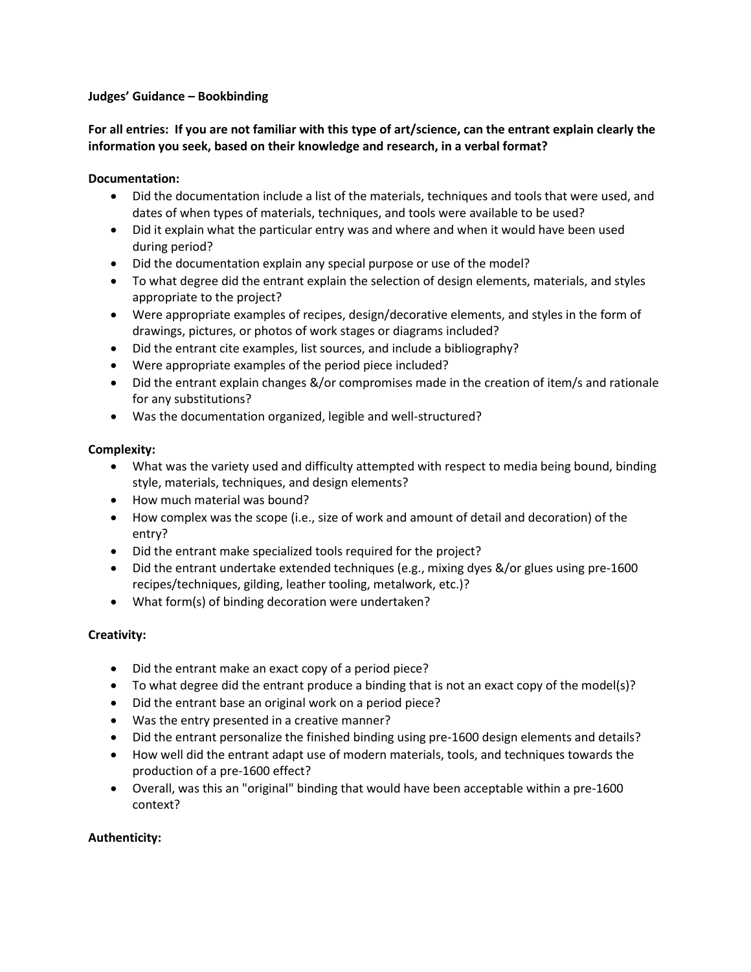#### **Judges' Guidance – Bookbinding**

# **For all entries: If you are not familiar with this type of art/science, can the entrant explain clearly the information you seek, based on their knowledge and research, in a verbal format?**

## **Documentation:**

- Did the documentation include a list of the materials, techniques and tools that were used, and dates of when types of materials, techniques, and tools were available to be used?
- Did it explain what the particular entry was and where and when it would have been used during period?
- Did the documentation explain any special purpose or use of the model?
- To what degree did the entrant explain the selection of design elements, materials, and styles appropriate to the project?
- Were appropriate examples of recipes, design/decorative elements, and styles in the form of drawings, pictures, or photos of work stages or diagrams included?
- Did the entrant cite examples, list sources, and include a bibliography?
- Were appropriate examples of the period piece included?
- Did the entrant explain changes &/or compromises made in the creation of item/s and rationale for any substitutions?
- Was the documentation organized, legible and well-structured?

#### **Complexity:**

- What was the variety used and difficulty attempted with respect to media being bound, binding style, materials, techniques, and design elements?
- How much material was bound?
- How complex was the scope (i.e., size of work and amount of detail and decoration) of the entry?
- Did the entrant make specialized tools required for the project?
- Did the entrant undertake extended techniques (e.g., mixing dyes &/or glues using pre-1600 recipes/techniques, gilding, leather tooling, metalwork, etc.)?
- What form(s) of binding decoration were undertaken?

# **Creativity:**

- Did the entrant make an exact copy of a period piece?
- To what degree did the entrant produce a binding that is not an exact copy of the model(s)?
- Did the entrant base an original work on a period piece?
- Was the entry presented in a creative manner?
- Did the entrant personalize the finished binding using pre-1600 design elements and details?
- How well did the entrant adapt use of modern materials, tools, and techniques towards the production of a pre-1600 effect?
- Overall, was this an "original" binding that would have been acceptable within a pre-1600 context?

# **Authenticity:**